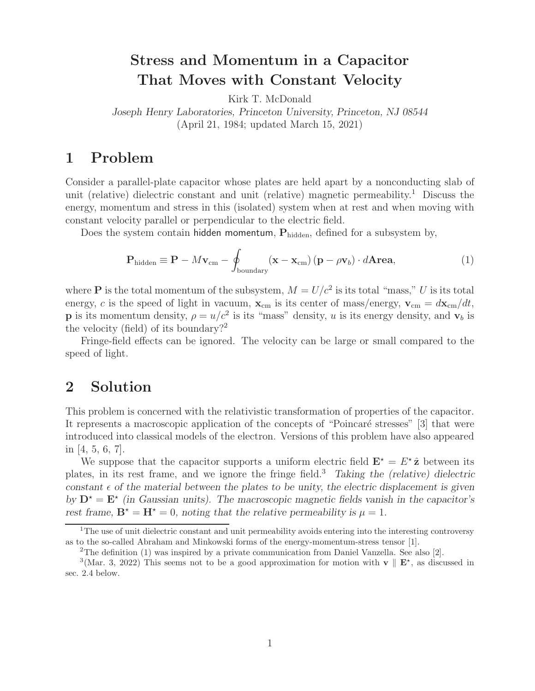## **Stress and Momentum in a Capacitor That Moves with Constant Velocity**

Kirk T. McDonald

*Joseph Henry Laboratories, Princeton University, Princeton, NJ 08544* (April 21, 1984; updated March 15, 2021)

### **1 Problem**

Consider a parallel-plate capacitor whose plates are held apart by a nonconducting slab of unit (relative) dielectric constant and unit (relative) magnetic permeability.<sup>1</sup> Discuss the energy, momentum and stress in this (isolated) system when at rest and when moving with constant velocity parallel or perpendicular to the electric field.

Does the system contain hidden momentum,  $P_{hidden}$ , defined for a subsystem by,

$$
\mathbf{P}_{\text{hidden}} \equiv \mathbf{P} - M\mathbf{v}_{\text{cm}} - \oint_{\text{boundary}} (\mathbf{x} - \mathbf{x}_{\text{cm}}) (\mathbf{p} - \rho \mathbf{v}_b) \cdot d\mathbf{A} \mathbf{rea}, \tag{1}
$$

where **P** is the total momentum of the subsystem,  $M = U/c^2$  is its total "mass," U is its total energy, c is the speed of light in vacuum,  $\mathbf{x}_{cm}$  is its center of mass/energy,  $\mathbf{v}_{cm} = d\mathbf{x}_{cm}/dt$ , **p** is its momentum density,  $\rho = u/c^2$  is its "mass" density, u is its energy density, and  $\mathbf{v}_b$  is the velocity (field) of its boundary?<sup>2</sup>

Fringe-field effects can be ignored. The velocity can be large or small compared to the speed of light.

### **2 Solution**

This problem is concerned with the relativistic transformation of properties of the capacitor. It represents a macroscopic application of the concepts of "Poincaré stresses" [3] that were introduced into classical models of the electron. Versions of this problem have also appeared in [4, 5, 6, 7].

We suppose that the capacitor supports a uniform electric field  $\mathbf{E}^* = E^* \hat{\mathbf{z}}$  between its plates, in its rest frame, and we ignore the fringe field.<sup>3</sup> *Taking the (relative) dielectric*  $constant \epsilon$  of the material between the plates to be unity, the electric displacement is given by  $D^* = E^*$  (in Gaussian units). The macroscopic magnetic fields vanish in the capacitor's *rest frame,*  $\mathbf{B}^* = \mathbf{H}^* = 0$ *, noting that the relative permeability is*  $\mu = 1$ *.* 

<sup>&</sup>lt;sup>1</sup>The use of unit dielectric constant and unit permeability avoids entering into the interesting controversy as to the so-called Abraham and Minkowski forms of the energy-momentum-stress tensor [1].

<sup>&</sup>lt;sup>2</sup>The definition (1) was inspired by a private communication from Daniel Vanzella. See also [2].

<sup>&</sup>lt;sup>3</sup>(Mar. 3, 2022) This seems not to be a good approximation for motion with **v**  $\parallel$  **E**<sup>\*</sup>, as discussed in sec. 2.4 below.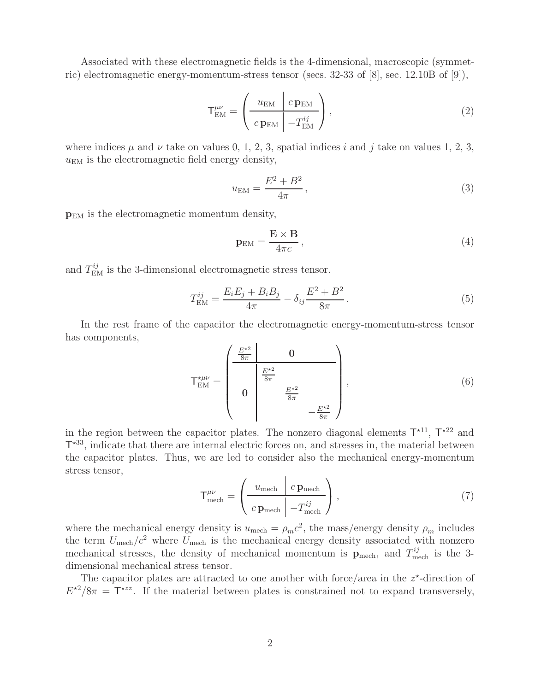Associated with these electromagnetic fields is the 4-dimensional, macroscopic (symmetric) electromagnetic energy-momentum-stress tensor (secs. 32-33 of [8], sec. 12.10B of [9]),

$$
\mathsf{T}_{\mathrm{EM}}^{\mu\nu} = \left(\begin{array}{c|c} u_{\mathrm{EM}} & c\,\mathbf{p}_{\mathrm{EM}} \\ \hline c\,\mathbf{p}_{\mathrm{EM}} & -T_{\mathrm{EM}}^{ij} \end{array}\right),\tag{2}
$$

where indices  $\mu$  and  $\nu$  take on values 0, 1, 2, 3, spatial indices i and j take on values 1, 2, 3,  $u_{EM}$  is the electromagnetic field energy density,

$$
u_{\rm EM} = \frac{E^2 + B^2}{4\pi},
$$
\n(3)

**p**EM is the electromagnetic momentum density,

$$
\mathbf{p}_{\text{EM}} = \frac{\mathbf{E} \times \mathbf{B}}{4\pi c},\tag{4}
$$

and  $T_{\text{EM}}^{ij}$  is the 3-dimensional electromagnetic stress tensor.

$$
T_{\rm EM}^{ij} = \frac{E_i E_j + B_i B_j}{4\pi} - \delta_{ij} \frac{E^2 + B^2}{8\pi}.
$$
 (5)

In the rest frame of the capacitor the electromagnetic energy-momentum-stress tensor has components,

$$
\mathsf{T}^{\star\mu\nu}_{\text{EM}} = \begin{pmatrix} \frac{E^{\star 2}}{8\pi} & \mathbf{0} \\ \hline & \frac{E^{\star 2}}{8\pi} \\ \mathbf{0} & \frac{E^{\star 2}}{8\pi} \\ & & -\frac{E^{\star 2}}{8\pi} \end{pmatrix}, \qquad (6)
$$

in the region between the capacitor plates. The nonzero diagonal elements  $T^{\star 11}$ ,  $T^{\star 22}$  and  $T<sup>+33</sup>$ , indicate that there are internal electric forces on, and stresses in, the material between the capacitor plates. Thus, we are led to consider also the mechanical energy-momentum stress tensor,

$$
\mathsf{T}^{\mu\nu}_{\text{mech}} = \left(\frac{u_{\text{mech}} \mid c \,\mathbf{p}_{\text{mech}}}{c \,\mathbf{p}_{\text{mech}} \mid -T^{ij}_{\text{mech}}}\right),\tag{7}
$$

where the mechanical energy density is  $u_{\text{mech}} = \rho_m c^2$ , the mass/energy density  $\rho_m$  includes the term  $U_{\text{mech}}/c^2$  where  $U_{\text{mech}}$  is the mechanical energy density associated with nonzero mechanical stresses, the density of mechanical momentum is  $\mathbf{p}_{\text{mech}}$ , and  $T_{\text{mech}}^{ij}$  is the 3dimensional mechanical stress tensor.

The capacitor plates are attracted to one another with force/area in the  $z^*$ -direction of  $E^{\star 2}/8\pi = \overline{\mathsf{T}}^{\star zz}$ . If the material between plates is constrained not to expand transversely,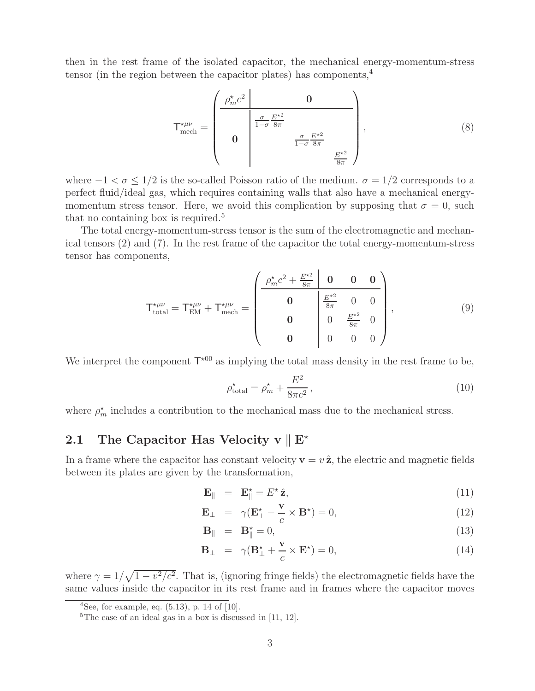then in the rest frame of the isolated capacitor, the mechanical energy-momentum-stress tensor (in the region between the capacitor plates) has components,  $4$ 

$$
\mathsf{T}^{\star\mu\nu}_{\text{mech}} = \begin{pmatrix} \frac{\rho_m^{\star}c^2}{\frac{\sigma}{1-\sigma}\frac{E^{\star 2}}{8\pi}} & 0\\ 0 & \frac{\frac{\sigma}{1-\sigma}\frac{E^{\star 2}}{8\pi}}{\frac{\sigma}{8\pi}} \end{pmatrix},\tag{8}
$$

where  $-1 < \sigma < 1/2$  is the so-called Poisson ratio of the medium.  $\sigma = 1/2$  corresponds to a perfect fluid/ideal gas, which requires containing walls that also have a mechanical energymomentum stress tensor. Here, we avoid this complication by supposing that  $\sigma = 0$ , such that no containing box is required.<sup>5</sup>

The total energy-momentum-stress tensor is the sum of the electromagnetic and mechanical tensors (2) and (7). In the rest frame of the capacitor the total energy-momentum-stress tensor has components,

$$
\mathsf{T}^{\star\mu\nu}_{\text{total}} = \mathsf{T}^{\star\mu\nu}_{\text{EM}} + \mathsf{T}^{\star\mu\nu}_{\text{mech}} = \begin{pmatrix} \frac{\rho_m^{\star}c^2 + \frac{E^{\star 2}}{8\pi} & \mathbf{0} & \mathbf{0} & \mathbf{0}}{\mathbf{0} & \frac{E^{\star 2}}{8\pi} & 0 & 0\\ \mathbf{0} & \mathbf{0} & \frac{E^{\star 2}}{8\pi} & 0 & 0\\ \mathbf{0} & \mathbf{0} & \frac{E^{\star 2}}{8\pi} & 0\\ \mathbf{0} & \mathbf{0} & 0 & 0 \end{pmatrix}, \tag{9}
$$

We interpret the component  $T^{\star 00}$  as implying the total mass density in the rest frame to be,

$$
\rho_{\text{total}}^{\star} = \rho_m^{\star} + \frac{E^2}{8\pi c^2},\qquad(10)
$$

where  $\rho_m^*$  includes a contribution to the mechanical mass due to the mechanical stress.

# **2.1** The Capacitor Has Velocity v  $\parallel$  E<sup>\*</sup>

In a frame where the capacitor has constant velocity  $\mathbf{v} = v \hat{\mathbf{z}}$ , the electric and magnetic fields between its plates are given by the transformation,

$$
\mathbf{E}_{\parallel} = \mathbf{E}_{\parallel}^{\star} = E^{\star} \hat{\mathbf{z}}, \tag{11}
$$

$$
\mathbf{E}_{\perp} = \gamma (\mathbf{E}_{\perp}^{\star} - \frac{\mathbf{v}}{c} \times \mathbf{B}^{\star}) = 0, \qquad (12)
$$

$$
\mathbf{B}_{\parallel} = \mathbf{B}_{\parallel}^{\star} = 0, \tag{13}
$$

$$
\mathbf{B}_{\perp} = \gamma (\mathbf{B}_{\perp}^{\star} + \frac{\mathbf{v}}{c} \times \mathbf{E}^{\star}) = 0, \qquad (14)
$$

where  $\gamma = 1/\sqrt{1 - v^2/c^2}$ . That is, (ignoring fringe fields) the electromagnetic fields have the same values inside the capacitor in its rest frame and in frames where the capacitor moves

<sup>&</sup>lt;sup>4</sup>See, for example, eq.  $(5.13)$ , p. 14 of [10].

<sup>&</sup>lt;sup>5</sup>The case of an ideal gas in a box is discussed in  $[11, 12]$ .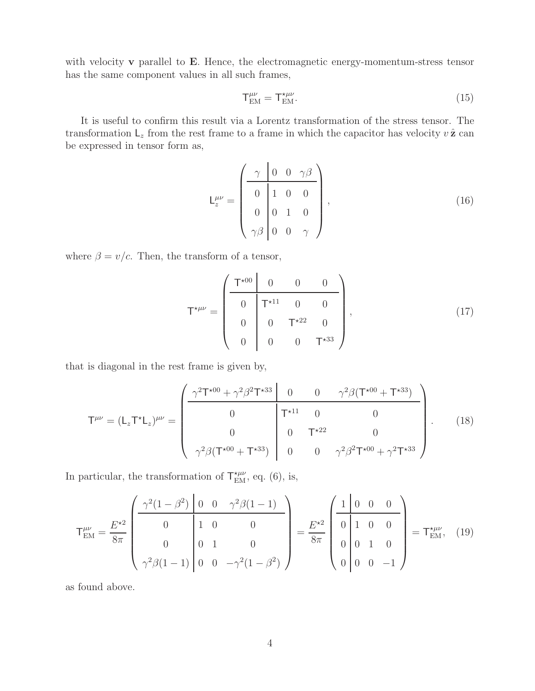with velocity **v** parallel to **E**. Hence, the electromagnetic energy-momentum-stress tensor has the same component values in all such frames,

$$
T_{\rm EM}^{\mu\nu} = T_{\rm EM}^{\star\mu\nu}.\tag{15}
$$

It is useful to confirm this result via a Lorentz transformation of the stress tensor. The transformation  $\mathsf{L}_z$  from the rest frame to a frame in which the capacitor has velocity  $v \hat{\mathbf{z}}$  can be expressed in tensor form as,

$$
L_z^{\mu\nu} = \begin{pmatrix} \gamma & 0 & 0 & \gamma\beta \\ 0 & 1 & 0 & 0 \\ 0 & 0 & 1 & 0 \\ \gamma\beta & 0 & 0 & \gamma \end{pmatrix},
$$
(16)

where  $\beta = v/c$ . Then, the transform of a tensor,

$$
\mathsf{T}^{\star\mu\nu} = \begin{pmatrix} \mathsf{T}^{\star 00} & 0 & 0 & 0 \\ 0 & \mathsf{T}^{\star 11} & 0 & 0 \\ 0 & 0 & \mathsf{T}^{\star 22} & 0 \\ 0 & 0 & 0 & \mathsf{T}^{\star 33} \end{pmatrix}, \tag{17}
$$

that is diagonal in the rest frame is given by,

$$
\mathsf{T}^{\mu\nu} = (\mathsf{L}_z \mathsf{T}^{\star} \mathsf{L}_z)^{\mu\nu} = \begin{pmatrix} \frac{\gamma^2 \mathsf{T}^{\star 00} + \gamma^2 \beta^2 \mathsf{T}^{\star 33} & 0 & 0 & \gamma^2 \beta (\mathsf{T}^{\star 00} + \mathsf{T}^{\star 33})}{0} \\ 0 & \mathsf{T}^{\star 11} & 0 & 0 \\ 0 & 0 & \mathsf{T}^{\star 22} & 0 \\ \gamma^2 \beta (\mathsf{T}^{\star 00} + \mathsf{T}^{\star 33}) & 0 & 0 & \gamma^2 \beta^2 \mathsf{T}^{\star 00} + \gamma^2 \mathsf{T}^{\star 33} \end{pmatrix} . \tag{18}
$$

In particular, the transformation of  $\mathsf{T}^{\star\mu\nu}_{\text{EM}}$ , eq. (6), is,

$$
\mathsf{T}^{\mu\nu}_{\text{EM}} = \frac{E^{\star 2}}{8\pi} \begin{pmatrix} \frac{\gamma^2 (1-\beta^2) \left| 0 & 0 & \gamma^2 \beta (1-1) \right|}{0 & 1 & 0 & 0} \\ 0 & 1 & 0 & 0 \\ \gamma^2 \beta (1-1) \left| 0 & 0 & -\gamma^2 (1-\beta^2) \end{pmatrix} = \frac{E^{\star 2}}{8\pi} \begin{pmatrix} 1 & 0 & 0 & 0 \\ 0 & 1 & 0 & 0 \\ 0 & 0 & 1 & 0 \\ 0 & 0 & 0 & -1 \end{pmatrix} = \mathsf{T}^{\star \mu\nu}_{\text{EM}}, \quad (19)
$$

as found above.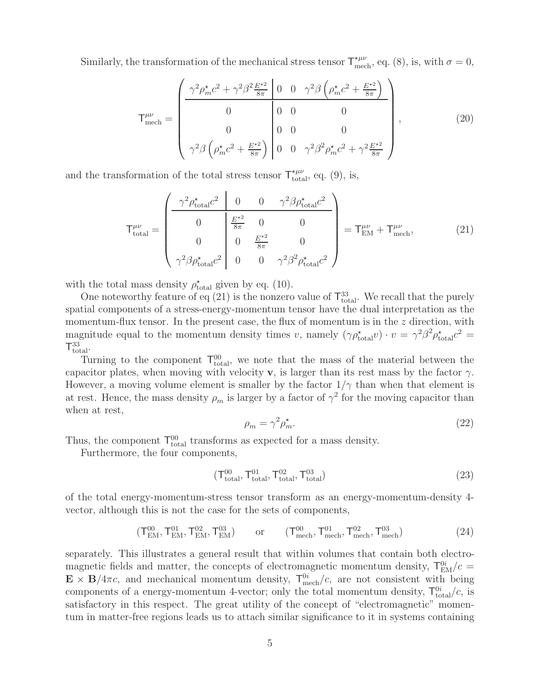Similarly, the transformation of the mechanical stress tensor  $\mathsf{T}^{\star\mu\nu}_{\text{mech}}$ , eq. (8), is, with  $\sigma = 0$ ,

$$
\mathsf{T}^{\mu\nu}_{\text{mech}} = \begin{pmatrix} \frac{\gamma^2 \rho_m^* c^2 + \gamma^2 \beta^2 \frac{E^{\star 2}}{8\pi} \, \bigg| \, 0 & 0 & \gamma^2 \beta \left( \rho_m^* c^2 + \frac{E^{\star 2}}{8\pi} \right)}{0 & 0 & 0} \\ 0 & 0 & 0 & 0 \\ \gamma^2 \beta \left( \rho_m^* c^2 + \frac{E^{\star 2}}{8\pi} \right) \, \bigg| \, 0 & 0 & 0 \\ 0 & 0 & \gamma^2 \beta^2 \rho_m^* c^2 + \gamma^2 \frac{E^{\star 2}}{8\pi} \end{pmatrix},\tag{20}
$$

and the transformation of the total stress tensor  $\mathsf{T}^{\star\mu\nu}_{\text{total}}$ , eq. (9), is,

$$
\mathsf{T}^{\mu\nu}_{\text{total}} = \begin{pmatrix} \frac{\gamma^2 \rho_{\text{total}}^* c^2}{0} & 0 & 0 & \gamma^2 \beta \rho_{\text{total}}^* c^2\\ 0 & \frac{E^{\star 2}}{8\pi} & 0 & 0\\ 0 & 0 & \frac{E^{\star 2}}{8\pi} & 0\\ \gamma^2 \beta \rho_{\text{total}}^* c^2 & 0 & 0 & \gamma^2 \beta^2 \rho_{\text{total}}^* c^2 \end{pmatrix} = \mathsf{T}^{\mu\nu}_{\text{EM}} + \mathsf{T}^{\mu\nu}_{\text{mech}}, \tag{21}
$$

with the total mass density  $\rho_{total}^{\star}$  given by eq. (10).

One noteworthy feature of eq (21) is the nonzero value of  $\mathsf{T}^{33}_{\text{total}}$ . We recall that the purely spatial components of a stress-energy-momentum tensor have the dual interpretation as the momentum-flux tensor. In the present case, the flux of momentum is in the  $z$  direction, with magnitude equal to the momentum density times v, namely  $(\gamma \rho_{\rm tot}^*)$  $t_{\text{total}}(v) \cdot v = \gamma^2 \beta^2 \rho_{\text{total}}^* c^2 =$  $T_{\text{total}}^{33}$ .

Turning to the component  $\mathsf{T}_{total}^{00}$ , we note that the mass of the material between the capacitor plates, when moving with velocity **v**, is larger than its rest mass by the factor  $\gamma$ . However, a moving volume element is smaller by the factor  $1/\gamma$  than when that element is at rest. Hence, the mass density  $\rho_m$  is larger by a factor of  $\gamma^2$  for the moving capacitor than when at rest,

$$
\rho_m = \gamma^2 \rho_m^*.\tag{22}
$$

Thus, the component  $T_{total}^{00}$  transforms as expected for a mass density.

Furthermore, the four components,

$$
(\mathsf{T}_{\text{total}}^{00}, \mathsf{T}_{\text{total}}^{01}, \mathsf{T}_{\text{total}}^{02}, \mathsf{T}_{\text{total}}^{03})
$$
\n
$$
(23)
$$

of the total energy-momentum-stress tensor transform as an energy-momentum-density 4 vector, although this is not the case for the sets of components,

$$
(T_{\rm EM}^{00}, T_{\rm EM}^{01}, T_{\rm EM}^{02}, T_{\rm EM}^{03}) \qquad \text{or} \qquad (T_{\rm mech}^{00}, T_{\rm mech}^{01}, T_{\rm mech}^{02}, T_{\rm mech}^{03}) \tag{24}
$$

separately. This illustrates a general result that within volumes that contain both electromagnetic fields and matter, the concepts of electromagnetic momentum density,  $T_{EM}^{0i}/c =$  $\mathbf{E} \times \mathbf{B}/4\pi c$ , and mechanical momentum density,  $T_{\text{mech}}^{0i}/c$ , are not consistent with being components of a energy-momentum 4-vector; only the total momentum density,  $T_{total}^{0i}/c$ , is satisfactory in this respect. The great utility of the concept of "electromagnetic" momentum in matter-free regions leads us to attach similar significance to it in systems containing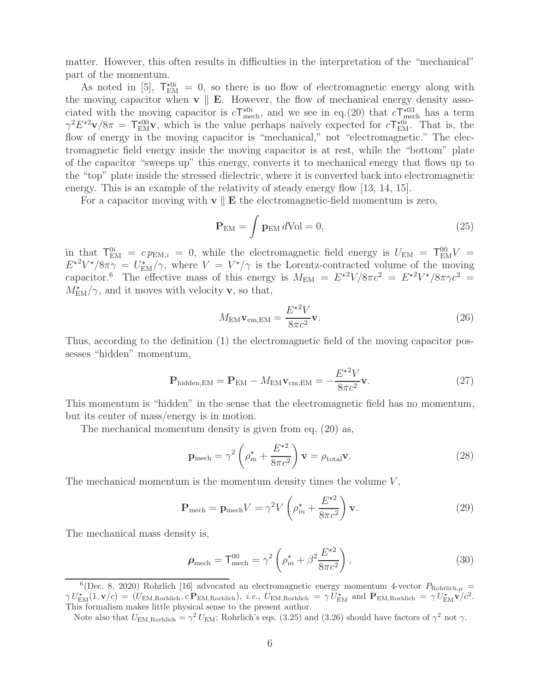matter. However, this often results in difficulties in the interpretation of the "mechanical" part of the momentum.

As noted in [5],  $T_{EM}^{\star 0i} = 0$ , so there is no flow of electromagnetic energy along with the moving capacitor when  $\mathbf{v} \parallel \mathbf{E}$ . However, the flow of mechanical energy density associated with the moving capacitor is  $cT_{\text{mech}}^{\star 0i}$ , and we see in eq.(20) that  $cT_{\text{mech}}^{\star 03}$  has a term  $\gamma^2 E^{\star 2} \mathbf{v}/8\pi = \mathbf{T}_{\text{EM}}^{\star 00} \mathbf{v}$ , which is the value perhaps naïvely expected for  $c\mathbf{T}_{\text{EM}}^{\star 0i}$ . That is, the flow of energy in the moving capacitor is "mechanical," not "electromagnetic." The electromagnetic field energy inside the moving capacitor is at rest, while the "bottom" plate of the capacitor "sweeps up" this energy, converts it to mechanical energy that flows up to the "top" plate inside the stressed dielectric, where it is converted back into electromagnetic energy. This is an example of the relativity of steady energy flow [13, 14, 15].

For a capacitor moving with  $\mathbf{v} \parallel \mathbf{E}$  the electromagnetic-field momentum is zero,

$$
\mathbf{P}_{\rm EM} = \int \mathbf{p}_{\rm EM} \, d\text{Vol} = 0,\tag{25}
$$

in that  $T_{EM}^{0i} = c p_{EM,i} = 0$ , while the electromagnetic field energy is  $U_{EM} = T_{EM}^{00} V =$  $E^{\star 2}V^{\star}/8\pi\gamma = U_{\text{EM}}^{\star}/\gamma$ , where  $V = V^{\star}/\gamma$  is the Lorentz-contracted volume of the moving capacitor.<sup>6</sup> The effective mass of this energy is  $M_{\text{EM}} = E^{\star 2}V/8\pi c^2 = E^{\star 2}V^{\star}/8\pi\gamma c^2 =$  $M_{\text{EM}}^{\star}/\gamma$ , and it moves with velocity **v**, so that,

$$
M_{\text{EM}}\mathbf{v}_{\text{cm,EM}} = \frac{E^{\star 2}V}{8\pi c^2}\mathbf{v}.
$$
 (26)

Thus, according to the definition (1) the electromagnetic field of the moving capacitor possesses "hidden" momentum,

$$
\mathbf{P}_{\text{hidden,EM}} = \mathbf{P}_{\text{EM}} - M_{\text{EM}} \mathbf{v}_{\text{cm,EM}} = -\frac{E^{\star 2} V}{8\pi c^2} \mathbf{v}.
$$
 (27)

This momentum is "hidden" in the sense that the electromagnetic field has no momentum, but its center of mass/energy is in motion.

The mechanical momentum density is given from eq. (20) as,

$$
\mathbf{p}_{\text{mech}} = \gamma^2 \left( \rho_m^* + \frac{E^{\star 2}}{8\pi c^2} \right) \mathbf{v} = \rho_{\text{total}} \mathbf{v}.
$$
 (28)

The mechanical momentum is the momentum density times the volume  $V$ ,

$$
\mathbf{P}_{\text{mech}} = \mathbf{p}_{\text{mech}} V = \gamma^2 V \left( \rho_m^* + \frac{E^{*2}}{8\pi c^2} \right) \mathbf{v}.
$$
 (29)

The mechanical mass density is,

$$
\rho_{\text{mech}} = \mathsf{T}_{\text{mech}}^{00} = \gamma^2 \left( \rho_m^* + \beta^2 \frac{E^{\star 2}}{8\pi c^2} \right),\tag{30}
$$

<sup>&</sup>lt;sup>6</sup>(Dec. 8, 2020) Rohrlich [16] advocated an electromagnetic energy momentum 4-vector  $P_{\text{Rohrlich},\mu}$  =  $\gamma U_{\text{EM}}^{\star}(1,\mathbf{v}/c)=(U_{\text{EM,Rorhlich}},c\,\mathbf{P}_{\text{EM,Rorhlich}}),\,\,i.e.,\,\,U_{\text{EM,Rorhlich}}\,=\,\gamma\,U_{\text{EM}}^{\star}$  and  $\mathbf{P}_{\text{EM,Rorhlich}}\,=\,\gamma\,U_{\text{EM}}^{\star}\mathbf{v}/c^2.$ This formalism makes little physical sense to the present author.

Note also that  $U_{\text{EM,Rorhlich}} = \gamma^2 U_{\text{EM}}$ ; Rohrlich's eqs. (3.25) and (3.26) should have factors of  $\gamma^2$  not  $\gamma$ .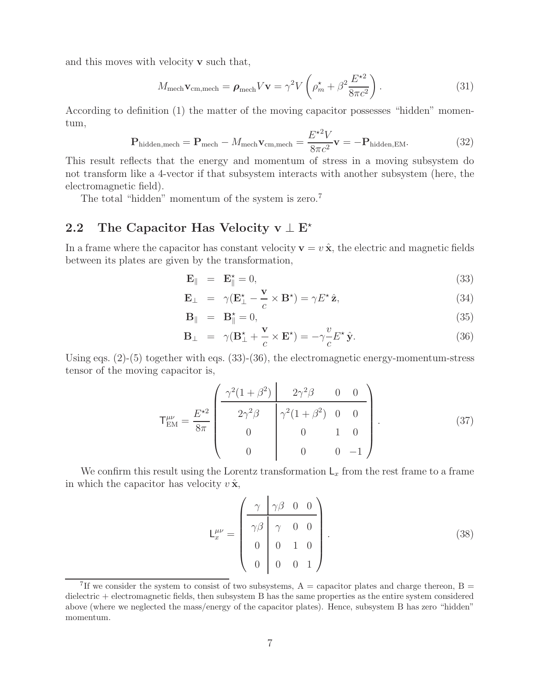and this moves with velocity **v** such that,

$$
M_{\text{mech}} \mathbf{v}_{\text{cm,mech}} = \boldsymbol{\rho}_{\text{mech}} V \mathbf{v} = \gamma^2 V \left( \rho_m^* + \beta^2 \frac{E^*^2}{8\pi c^2} \right). \tag{31}
$$

According to definition (1) the matter of the moving capacitor possesses "hidden" momentum,

$$
\mathbf{P}_{\text{hidden,mech}} = \mathbf{P}_{\text{mech}} - M_{\text{mech}} \mathbf{v}_{\text{cm,mech}} = \frac{E^{\star 2} V}{8 \pi c^2} \mathbf{v} = -\mathbf{P}_{\text{hidden,EM}}.
$$
 (32)

This result reflects that the energy and momentum of stress in a moving subsystem do not transform like a 4-vector if that subsystem interacts with another subsystem (here, the electromagnetic field).

The total "hidden" momentum of the system is zero.<sup>7</sup>

# **2.2 The Capacitor Has Velocity v** <sup>⊥</sup> **<sup>E</sup>**-

In a frame where the capacitor has constant velocity  $\mathbf{v} = v \hat{\mathbf{x}}$ , the electric and magnetic fields between its plates are given by the transformation,

$$
\mathbf{E}_{\parallel} = \mathbf{E}_{\parallel}^{\star} = 0, \tag{33}
$$

$$
\mathbf{E}_{\perp} = \gamma (\mathbf{E}_{\perp}^{\star} - \frac{\mathbf{v}}{c} \times \mathbf{B}^{\star}) = \gamma E^{\star} \hat{\mathbf{z}}, \tag{34}
$$

$$
\mathbf{B}_{\parallel} = \mathbf{B}_{\parallel}^{\star} = 0, \tag{35}
$$

$$
\mathbf{B}_{\perp} = \gamma (\mathbf{B}_{\perp}^{\star} + \frac{\mathbf{v}}{c} \times \mathbf{E}^{\star}) = -\gamma \frac{v}{c} E^{\star} \hat{\mathbf{y}}.
$$
 (36)

Using eqs. (2)-(5) together with eqs. (33)-(36), the electromagnetic energy-momentum-stress tensor of the moving capacitor is,

$$
\mathsf{T}^{\mu\nu}_{\text{EM}} = \frac{E^{\star 2}}{8\pi} \begin{pmatrix} \frac{\gamma^2 (1+\beta^2)}{2\gamma^2 \beta} & 2\gamma^2 \beta & 0 & 0\\ 2\gamma^2 \beta & \gamma^2 (1+\beta^2) & 0 & 0\\ 0 & 0 & 1 & 0\\ 0 & 0 & 0 & -1 \end{pmatrix} . \tag{37}
$$

We confirm this result using the Lorentz transformation  $L_x$  from the rest frame to a frame in which the capacitor has velocity  $v \hat{\mathbf{x}}$ ,

$$
\mathsf{L}_{x}^{\mu\nu} = \begin{pmatrix} \gamma & \gamma\beta & 0 & 0 \\ \gamma\beta & \gamma & 0 & 0 \\ 0 & 0 & 1 & 0 \\ 0 & 0 & 0 & 1 \end{pmatrix} . \tag{38}
$$

<sup>&</sup>lt;sup>7</sup>If we consider the system to consist of two subsystems,  $A =$  capacitor plates and charge thereon,  $B =$ dielectric + electromagnetic fields, then subsystem B has the same properties as the entire system considered above (where we neglected the mass/energy of the capacitor plates). Hence, subsystem B has zero "hidden" momentum.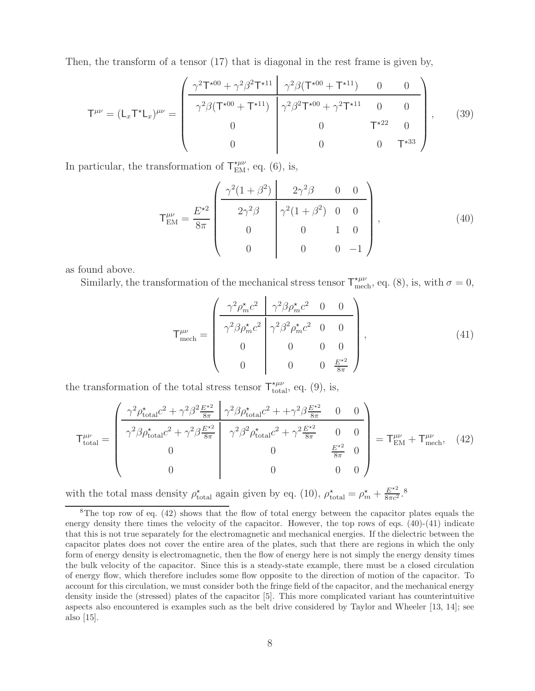Then, the transform of a tensor (17) that is diagonal in the rest frame is given by,

$$
\mathsf{T}^{\mu\nu} = (\mathsf{L}_x \mathsf{T}^{\star} \mathsf{L}_x)^{\mu\nu} = \begin{pmatrix} \frac{\gamma^2 \mathsf{T}^{\star 00} + \gamma^2 \beta^2 \mathsf{T}^{\star 11}}{\gamma^2 \beta (\mathsf{T}^{\star 00} + \mathsf{T}^{\star 11})} & \frac{\gamma^2 \beta (\mathsf{T}^{\star 00} + \mathsf{T}^{\star 11})}{\gamma^2 \beta^2 \mathsf{T}^{\star 00} + \gamma^2 \mathsf{T}^{\star 11}} & 0 & 0\\ 0 & 0 & \mathsf{T}^{\star 22} & 0\\ 0 & 0 & 0 & \mathsf{T}^{\star 33} \end{pmatrix}, \qquad (39)
$$

In particular, the transformation of  $\mathsf{T}^{\star\mu\nu}_{\text{EM}}$ , eq. (6), is,

$$
\mathsf{T}^{\mu\nu}_{\text{EM}} = \frac{E^{\star 2}}{8\pi} \begin{pmatrix} \frac{\gamma^2 (1+\beta^2)}{2\gamma^2 \beta} & 0 & 0\\ 2\gamma^2 \beta & \gamma^2 (1+\beta^2) & 0 & 0\\ 0 & 0 & 1 & 0\\ 0 & 0 & 0 & -1 \end{pmatrix},\tag{40}
$$

as found above.

Similarly, the transformation of the mechanical stress tensor  $\mathsf{T}^{\star\mu\nu}_{\text{mech}}$ , eq. (8), is, with  $\sigma = 0$ ,

$$
\mathsf{T}^{\mu\nu}_{\text{mech}} = \begin{pmatrix} \frac{\gamma^2 \rho_m^{\star} c^2}{\gamma^2 \beta \rho_m^{\star} c^2} & \frac{\gamma^2 \beta \rho_m^{\star} c^2}{\gamma^2 \beta^2 \rho_m^{\star} c^2} & 0 & 0\\ 0 & 0 & 0 & 0\\ 0 & 0 & 0 & \frac{E^{\star 2}}{8\pi} \end{pmatrix},
$$
(41)

the transformation of the total stress tensor  $\mathsf{T}^{\star\mu\nu}_{\text{total}}$ , eq. (9), is,

$$
\mathsf{T}^{\mu\nu}_{\text{total}} = \begin{pmatrix} \frac{\gamma^2 \rho_{\text{total}}^* c^2 + \gamma^2 \beta^2 \frac{E^{\star 2}}{8\pi} & \gamma^2 \beta \rho_{\text{total}}^* c^2 + + \gamma^2 \beta \frac{E^{\star 2}}{8\pi} & 0 & 0\\ \frac{\gamma^2 \beta \rho_{\text{total}}^* c^2 + \gamma^2 \beta \frac{E^{\star 2}}{8\pi} & \gamma^2 \beta^2 \rho_{\text{total}}^* c^2 + \gamma^2 \frac{E^{\star 2}}{8\pi} & 0 & 0\\ 0 & 0 & \frac{E^{\star 2}}{8\pi} & 0\\ 0 & 0 & 0 & 0 \end{pmatrix} = \mathsf{T}^{\mu\nu}_{\text{EM}} + \mathsf{T}^{\mu\nu}_{\text{mech}}, \quad (42)
$$

with the total mass density  $\rho_{total}^{\star}$  again given by eq. (10),  $\rho_{total}^{\star} = \rho_{m}^{\star} + \frac{E^{\star 2}}{8\pi c^2}$ .<sup>8</sup>

<sup>8</sup>The top row of eq. (42) shows that the flow of total energy between the capacitor plates equals the energy density there times the velocity of the capacitor. However, the top rows of eqs.  $(40)-(41)$  indicate that this is not true separately for the electromagnetic and mechanical energies. If the dielectric between the capacitor plates does not cover the entire area of the plates, such that there are regions in which the only form of energy density is electromagnetic, then the flow of energy here is not simply the energy density times the bulk velocity of the capacitor. Since this is a steady-state example, there must be a closed circulation of energy flow, which therefore includes some flow opposite to the direction of motion of the capacitor. To account for this circulation, we must consider both the fringe field of the capacitor, and the mechanical energy density inside the (stressed) plates of the capacitor [5]. This more complicated variant has counterintuitive aspects also encountered is examples such as the belt drive considered by Taylor and Wheeler [13, 14]; see also [15].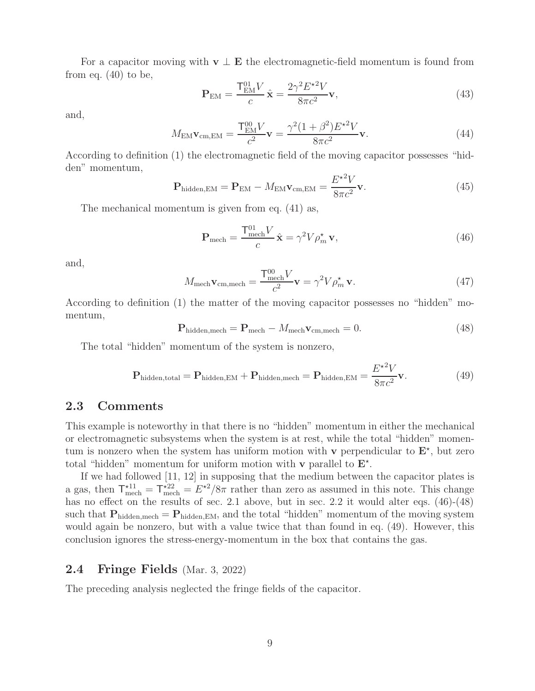For a capacitor moving with  $\mathbf{v} \perp \mathbf{E}$  the electromagnetic-field momentum is found from from eq.  $(40)$  to be,

$$
\mathbf{P}_{\text{EM}} = \frac{\mathbf{T}_{\text{EM}}^{01} V}{c} \hat{\mathbf{x}} = \frac{2\gamma^2 E^{\star 2} V}{8\pi c^2} \mathbf{v},\tag{43}
$$

and,

$$
M_{\text{EM}} \mathbf{v}_{\text{cm,EM}} = \frac{\mathbf{T}_{\text{EM}}^{00} V}{c^2} \mathbf{v} = \frac{\gamma^2 (1 + \beta^2) E^{\star 2} V}{8 \pi c^2} \mathbf{v}.
$$
 (44)

According to definition (1) the electromagnetic field of the moving capacitor possesses "hidden" momentum,  $\overline{2}$ 

$$
\mathbf{P}_{\text{hidden,EM}} = \mathbf{P}_{\text{EM}} - M_{\text{EM}} \mathbf{v}_{\text{cm,EM}} = \frac{E^{\star 2} V}{8 \pi c^2} \mathbf{v}.
$$
 (45)

The mechanical momentum is given from eq. (41) as,

$$
\mathbf{P}_{\text{mech}} = \frac{\mathbf{T}_{\text{mech}}^{01} V}{c} \hat{\mathbf{x}} = \gamma^2 V \rho_m^{\star} \mathbf{v},\tag{46}
$$

and,

$$
M_{\text{mech}} \mathbf{v}_{\text{cm,mech}} = \frac{\mathbf{T}_{\text{mech}}^{00} V}{c^2} \mathbf{v} = \gamma^2 V \rho_m^* \mathbf{v}.
$$
 (47)

According to definition (1) the matter of the moving capacitor possesses no "hidden" momentum,

$$
\mathbf{P}_{\text{hidden,mech}} = \mathbf{P}_{\text{mech}} - M_{\text{mech}} \mathbf{v}_{\text{cm,mech}} = 0. \tag{48}
$$

The total "hidden" momentum of the system is nonzero,

$$
\mathbf{P}_{\text{hidden,total}} = \mathbf{P}_{\text{hidden,EM}} + \mathbf{P}_{\text{hidden,mech}} = \mathbf{P}_{\text{hidden,EM}} = \frac{E^{\star 2}V}{8\pi c^2} \mathbf{v}.
$$
 (49)

#### **2.3 Comments**

This example is noteworthy in that there is no "hidden" momentum in either the mechanical or electromagnetic subsystems when the system is at rest, while the total "hidden" momentum is nonzero when the system has uniform motion with **v** perpendicular to  $\mathbf{E}^*$ , but zero total "hidden" momentum for uniform motion with **v** parallel to  $\mathbf{E}^*$ .

If we had followed [11, 12] in supposing that the medium between the capacitor plates is a gas, then  $\mathsf{T}^{*11}_{\text{mech}} = \mathsf{T}^{*22}_{\text{mech}} = E^{*2}/8\pi$  rather than zero as assumed in this note. This change has no effect on the results of sec. 2.1 above, but in sec. 2.2 it would alter eqs.  $(46)-(48)$ such that  $P_{hidden,mech} = P_{hidden,EM}$ , and the total "hidden" momentum of the moving system would again be nonzero, but with a value twice that than found in eq. (49). However, this conclusion ignores the stress-energy-momentum in the box that contains the gas.

#### **2.4 Fringe Fields** (Mar. 3, 2022)

The preceding analysis neglected the fringe fields of the capacitor.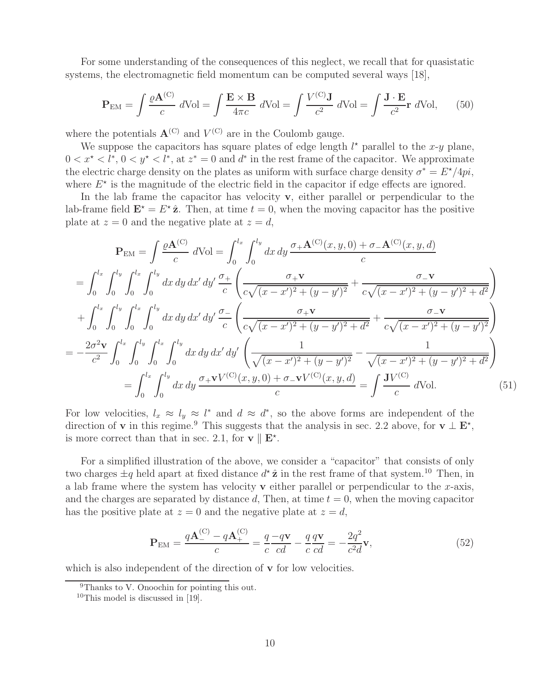For some understanding of the consequences of this neglect, we recall that for quasistatic systems, the electromagnetic field momentum can be computed several ways [18],

$$
\mathbf{P}_{\rm EM} = \int \frac{\varrho \mathbf{A}^{(\rm C)}}{c} \, d\text{Vol} = \int \frac{\mathbf{E} \times \mathbf{B}}{4\pi c} \, d\text{Vol} = \int \frac{V^{(\rm C)} \mathbf{J}}{c^2} \, d\text{Vol} = \int \frac{\mathbf{J} \cdot \mathbf{E}}{c^2} \mathbf{r} \, d\text{Vol}, \qquad (50)
$$

where the potentials  $\mathbf{A}^{(C)}$  and  $V^{(C)}$  are in the Coulomb gauge.

We suppose the capacitors has square plates of edge length  $l^*$  parallel to the x-y plane,  $0 < x^* < l^*, 0 < y^* < l^*,$  at  $z^* = 0$  and  $d^*$  in the rest frame of the capacitor. We approximate the electric charge density on the plates as uniform with surface charge density  $\sigma^* = E^* / 4pi$ , where  $E^*$  is the magnitude of the electric field in the capacitor if edge effects are ignored.

In the lab frame the capacitor has velocity **v**, either parallel or perpendicular to the lab-frame field  $\mathbf{E}^* = E^* \hat{\mathbf{z}}$ . Then, at time  $t = 0$ , when the moving capacitor has the positive plate at  $z = 0$  and the negative plate at  $z = d$ ,

$$
\mathbf{P}_{EM} = \int \frac{\varrho \mathbf{A}^{(C)}}{c} dVol = \int_0^{l_x} \int_0^{l_y} dx \, dy \, \frac{\sigma_+ \mathbf{A}^{(C)}(x, y, 0) + \sigma_- \mathbf{A}^{(C)}(x, y, d)}{c}
$$
\n
$$
= \int_0^{l_x} \int_0^{l_y} \int_0^{l_x} \int_0^{l_y} dx \, dy \, dx' \, dy' \frac{\sigma_+}{c} \left( \frac{\sigma_+ \mathbf{v}}{c\sqrt{(x - x')^2 + (y - y')^2}} + \frac{\sigma_- \mathbf{v}}{c\sqrt{(x - x')^2 + (y - y')^2 + d^2}} \right)
$$
\n
$$
+ \int_0^{l_x} \int_0^{l_y} \int_0^{l_x} \int_0^{l_y} dx \, dy \, dx' \, dy' \frac{\sigma_-}{c} \left( \frac{\sigma_+ \mathbf{v}}{c\sqrt{(x - x')^2 + (y - y')^2 + d^2}} + \frac{\sigma_- \mathbf{v}}{c\sqrt{(x - x')^2 + (y - y')^2}} \right)
$$
\n
$$
= -\frac{2\sigma^2 \mathbf{v}}{c^2} \int_0^{l_x} \int_0^{l_y} \int_0^{l_x} \int_0^{l_y} dx \, dy \, dx' \, dy' \left( \frac{1}{\sqrt{(x - x')^2 + (y - y')^2}} - \frac{1}{\sqrt{(x - x')^2 + (y - y')^2 + d^2}} \right)
$$
\n
$$
= \int_0^{l_x} \int_0^{l_y} dx \, dy \, \frac{\sigma_+ \mathbf{v} V^{(C)}(x, y, 0) + \sigma_- \mathbf{v} V^{(C)}(x, y, d)}{c} = \int \frac{\mathbf{J} V^{(C)}}{c} dVol. \tag{51}
$$

For low velocities,  $l_x \approx l_y \approx l^*$  and  $d \approx d^*$ , so the above forms are independent of the direction of **v** in this regime.<sup>9</sup> This suggests that the analysis in sec. 2.2 above, for **v**  $\perp$  **E**<sup>\*</sup>, is more correct than that in sec. 2.1, for  $\mathbf{v} \parallel \mathbf{E}^*$ .

For a simplified illustration of the above, we consider a "capacitor" that consists of only two charges  $\pm q$  held apart at fixed distance  $d^* \hat{\mathbf{z}}$  in the rest frame of that system.<sup>10</sup> Then, in a lab frame where the system has velocity  $\bf{v}$  either parallel or perpendicular to the x-axis, and the charges are separated by distance d, Then, at time  $t = 0$ , when the moving capacitor has the positive plate at  $z = 0$  and the negative plate at  $z = d$ ,

$$
\mathbf{P}_{\rm EM} = \frac{q\mathbf{A}_{-}^{(C)} - q\mathbf{A}_{+}^{(C)}}{c} = \frac{q}{c}\frac{-q\mathbf{v}}{cd} - \frac{q}{c}\frac{q\mathbf{v}}{cd} = -\frac{2q^2}{c^2d}\mathbf{v},\tag{52}
$$

which is also independent of the direction of **v** for low velocities.

<sup>&</sup>lt;sup>9</sup>Thanks to V. Onoochin for pointing this out.

 $10$ This model is discussed in [19].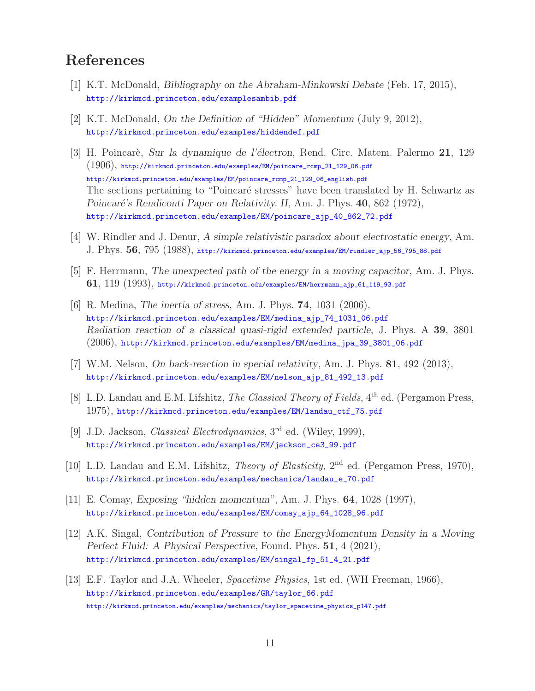## **References**

- [1] K.T. McDonald, *Bibliography on the Abraham-Minkowski Debate* (Feb. 17, 2015), http://kirkmcd.princeton.edu/examplesambib.pdf
- [2] K.T. McDonald, *On the Definition of "Hidden" Momentum* (July 9, 2012), http://kirkmcd.princeton.edu/examples/hiddendef.pdf
- [3] H. Poincar`e, *Sur la dynamique de l'´electron*, Rend. Circ. Matem. Palermo **21**, 129 (1906), http://kirkmcd.princeton.edu/examples/EM/poincare\_rcmp\_21\_129\_06.pdf http://kirkmcd.princeton.edu/examples/EM/poincare\_rcmp\_21\_129\_06\_english.pdf The sections pertaining to "Poincaré stresses" have been translated by H. Schwartz as *Poincar´e's Rendiconti Paper on Relativity. II*, Am. J. Phys. **40**, 862 (1972), http://kirkmcd.princeton.edu/examples/EM/poincare\_ajp\_40\_862\_72.pdf
- [4] W. Rindler and J. Denur, *A simple relativistic paradox about electrostatic energy*, Am. J. Phys. **56**, 795 (1988), http://kirkmcd.princeton.edu/examples/EM/rindler\_ajp\_56\_795\_88.pdf
- [5] F. Herrmann, *The unexpected path of the energy in a moving capacitor*, Am. J. Phys. **61**, 119 (1993), http://kirkmcd.princeton.edu/examples/EM/herrmann\_ajp\_61\_119\_93.pdf
- [6] R. Medina, *The inertia of stress*, Am. J. Phys. **74**, 1031 (2006), http://kirkmcd.princeton.edu/examples/EM/medina\_ajp\_74\_1031\_06.pdf *Radiation reaction of a classical quasi-rigid extended particle*, J. Phys. A **39**, 3801 (2006), http://kirkmcd.princeton.edu/examples/EM/medina\_jpa\_39\_3801\_06.pdf
- [7] W.M. Nelson, *On back-reaction in special relativity*, Am. J. Phys. **81**, 492 (2013), http://kirkmcd.princeton.edu/examples/EM/nelson\_ajp\_81\_492\_13.pdf
- [8] L.D. Landau and E.M. Lifshitz, *The Classical Theory of Fields*, 4th ed. (Pergamon Press, 1975), http://kirkmcd.princeton.edu/examples/EM/landau\_ctf\_75.pdf
- [9] J.D. Jackson, *Classical Electrodynamics*, 3rd ed. (Wiley, 1999), http://kirkmcd.princeton.edu/examples/EM/jackson\_ce3\_99.pdf
- [10] L.D. Landau and E.M. Lifshitz, *Theory of Elasticity*, 2nd ed. (Pergamon Press, 1970), http://kirkmcd.princeton.edu/examples/mechanics/landau\_e\_70.pdf
- [11] E. Comay, *Exposing "hidden momentum"*, Am. J. Phys. **64**, 1028 (1997), http://kirkmcd.princeton.edu/examples/EM/comay\_ajp\_64\_1028\_96.pdf
- [12] A.K. Singal, *Contribution of Pressure to the EnergyMomentum Density in a Moving Perfect Fluid: A Physical Perspective*, Found. Phys. **51**, 4 (2021), http://kirkmcd.princeton.edu/examples/EM/singal\_fp\_51\_4\_21.pdf
- [13] E.F. Taylor and J.A. Wheeler, *Spacetime Physics*, 1st ed. (WH Freeman, 1966), http://kirkmcd.princeton.edu/examples/GR/taylor\_66.pdf http://kirkmcd.princeton.edu/examples/mechanics/taylor\_spacetime\_physics\_p147.pdf